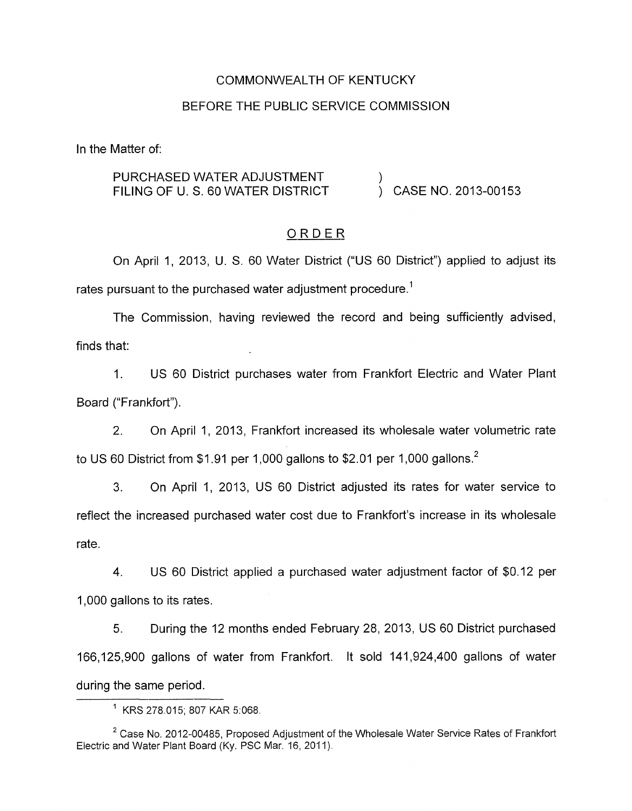#### COMMONWEALTH OF KENTUCKY

### BEFORE THE PUBLIC SERVICE COMMISSION

In the Matter of:

## PURCHASED WATER ADJUSTMENT  $\qquad \qquad$ )<br>FILING OF U.S. 60 WATER DISTRICT  $\qquad \qquad$ ) CASE NO. 2013-00153 FILING OF U. S. 60 WATER DISTRICT

### ORDER

On April 1, 2013, U. S. 60 Water District ("US 60 District") applied to adjust its rates pursuant to the purchased water adjustment procedure.<sup>1</sup>

The Commission, having reviewed the record and being sufficiently advised, finds that:

1. US 60 District purchases water from Frankfort Electric and Water Plant Board ("Frankfort").

2. On April 1, 2013, Frankfort increased its wholesale water volumetric rate to US 60 District from \$1.91 per 1,000 gallons to \$2.01 per 1,000 gallons.<sup>2</sup>

3. On April 1, 2013, US 60 District adjusted its rates for water service to reflect the increased purchased water cost due to Frankfort's increase in its wholesale rate.

4. US 60 District applied a purchased water adjustment factor of \$0.12 per 1,000 gallons to its rates.

5. During the 12 months ended February 28, 2013, US 60 District purchased 166,125,900 gallons of water from Frankfort. It sold 141,924,400 gallons of water during the same period.

<sup>&#</sup>x27; KRS 278.015; 807 KAR 5:068

<sup>&</sup>lt;sup>2</sup> Case No. 2012-00485, Proposed Adjustment of the Wholesale Water Service Rates of Frankfort Electric and Water Plant Board (Ky. PSC Mar. 16, 2011).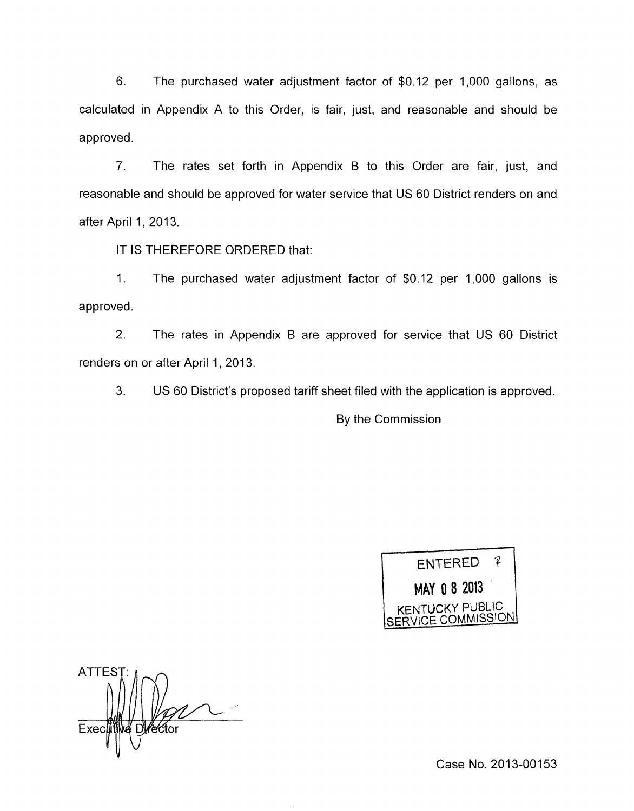6. The purchased water adjustment factor of \$0.12 per 1,000 gallons, as calculated in Appendix A to this Order, is fair, just, and reasonable and should be approved.

7. The rates set forth in Appendix B to this Order are fair, just, and reasonable and should be approved for water service that US 60 District renders on and after April 1, 2013.

IT IS THEREFORE ORDERED that:

1. The purchased water adjustment factor of \$0.12 per 1,000 gallons is approved.

2. The rates in Appendix B are approved for service that US 60 District renders on or after April 1, 2013.

3. US 60 District's proposed tariff sheet filed with the application is approved.

By the Commission



ATTES<sup>®</sup> Exed ector

Case No. 2013-00153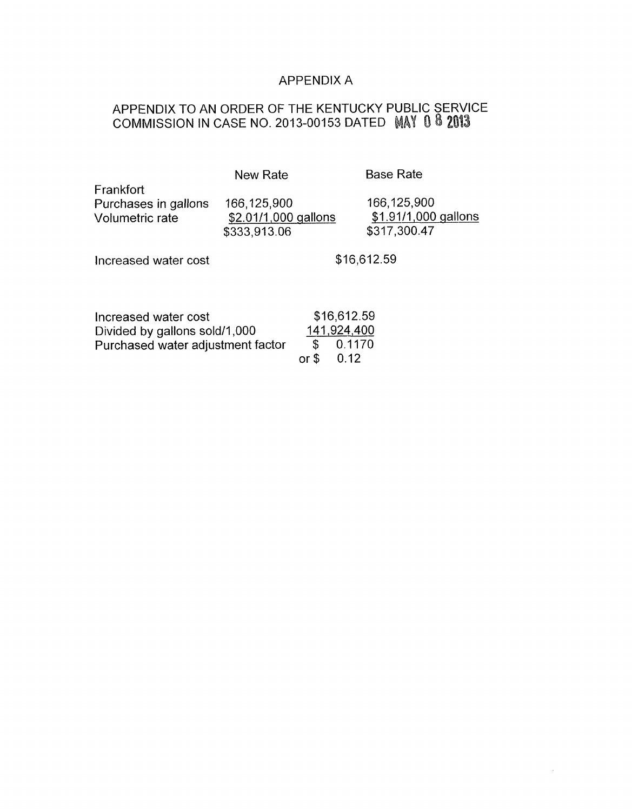# APPENDIX A

# APPENDIX TO AN ORDER OF THE KENTUCKY PUBLIC SERVICE COMMISSION IN CASE NO. 2013-00153 DATED

| <b>New Rate</b>                                                    |                             | <b>Base Rate</b>                                      |
|--------------------------------------------------------------------|-----------------------------|-------------------------------------------------------|
| 166,125,900<br>\$333,913.06                                        |                             | 166,125,900<br>\$1.91/1,000 gallons<br>\$317,300.47   |
|                                                                    |                             | \$16,612.59                                           |
|                                                                    |                             |                                                       |
| Divided by gallons sold/1,000<br>Purchased water adjustment factor | \$16,612.59<br>\$<br>0.1170 |                                                       |
|                                                                    |                             | \$2.01/1,000 gallons<br>141,924,400<br>or $$$<br>0.12 |

 $\mathcal{A}$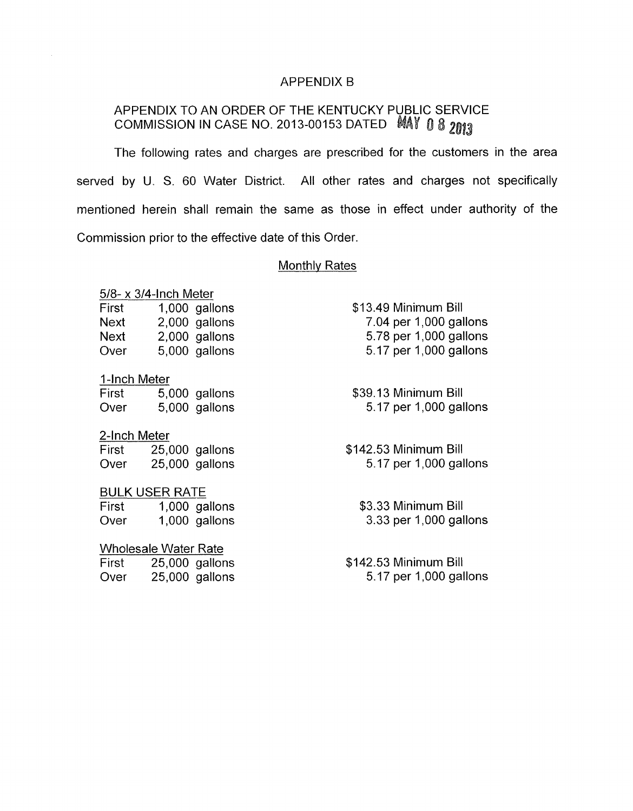#### APPENDIX B

# APPENDIX TO AN ORDER OF THE KENTUCKY PUBLIC SERVICE COMMISSION IN CASE NO. 2013-00153 DATED MAY 0 8 2013

The following rates and charges are prescribed for the customers in the area served by U. S. 60 Water District. All other rates and charges not specifically mentioned herein shall remain the same as those in effect under authority of the Commission prior to the effective date of this Order.

#### Monthly Rates

*5/8-* x 3/4-lnch Meter

| First | 1,000 gallons |
|-------|---------------|
| Next  | 2,000 gallons |
| Next  | 2,000 gallons |
| Over  | 5,000 gallons |

I-Inch Meter

| First | 5,000 gallons |
|-------|---------------|
| Over  | 5,000 gallons |

#### 2-Inch Meter

First 25,000 gallons Over 25,000 gallons

### BULK USER RATE

First 1,000 gallons Over 1,000 gallons

## Wholesale Water Rate

| First | $25,000$ gallons |
|-------|------------------|
| Over  | $25,000$ gallons |

\$13.49 Minimum Bill 7.04 per 1,000 gallons 5.78 per 1,000 gallons 5.17 per 1,000 gallons

\$39.13 Minimum Bill 5.17 per 1,000 gallons

\$142.53 Minimum Bill 5.17 per 1,000 gallons

\$3.33 Minimum Bill 3.33 per 1,000 gallons

Over 25,000 gallons 5.17 per 1,000 gallons \$142.53 Minimum Bill